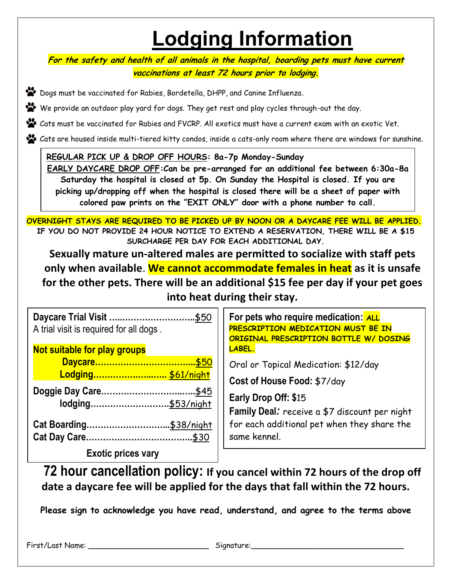## **Lodging Information**

**For the safety and health of all animals in the hospital, boarding pets must have current vaccinations at least 72 hours prior to lodging.**

Dogs must be vaccinated for Rabies, Bordetella, DHPP, and Canine Influenza.

We provide an outdoor play yard for dogs. They get rest and play cycles through-out the day.

Cats must be vaccinated for Rabies and FVCRP. All exotics must have a current exam with an exotic Vet.

Cats are housed inside multi-tiered kitty condos, inside a cats-only room where there are windows for sunshine.

## **REGULAR PICK UP & DROP OFF HOURS: 8a-7p Monday-Sunday**

**EARLY DAYCARE DROP OFF:Can be pre-arranged for an additional fee between 6:30a-8a Saturday the hospital is closed at 5p. On Sunday the Hospital is closed. If you are picking up/dropping off when the hospital is closed there will be a sheet of paper with colored paw prints on the "EXIT ONLY" door with a phone number to call.**

**OVERNIGHT STAYS ARE REQUIRED TO BE PICKED UP BY NOON OR A DAYCARE FEE WILL BE APPLIED. IF YOU DO NOT PROVIDE 24 HOUR NOTICE TO EXTEND A RESERVATION, THERE WILL BE A \$15 SURCHARGE PER DAY FOR EACH ADDITIONAL DAY.**

**Sexually mature un-altered males are permitted to socialize with staff pets only when available**. **We cannot accommodate females in heat as it is unsafe for the other pets. There will be an additional \$15 fee per day if your pet goes into heat during their stay.**

| Daycare Trial Visit<br>\$50<br>A trial visit is required for all dogs. | For pets who require medication: ALL<br>PRESCRIPTION MEDICATION MUST BE IN<br>ORIGINAL PRESCRIPTION BOTTLE W/ DOSING |
|------------------------------------------------------------------------|----------------------------------------------------------------------------------------------------------------------|
| Not suitable for play groups                                           | LABEL.                                                                                                               |
|                                                                        | Oral or Topical Medication: \$12/day                                                                                 |
| Lodging \$61/night                                                     | Cost of House Food: \$7/day                                                                                          |
|                                                                        | Early Drop Off: \$15<br>Family Deal: receive a \$7 discount per night                                                |
|                                                                        | for each additional pet when they share the<br>same kennel.                                                          |
| <b>Exotic prices vary</b>                                              |                                                                                                                      |

**72 hour cancellation policy: If you cancel within 72 hours of the drop off date a daycare fee will be applied for the days that fall within the 72 hours.**

**Please sign to acknowledge you have read, understand, and agree to the terms above**

First/Last Name: \_\_\_\_\_\_\_\_\_\_\_\_\_\_\_\_\_\_\_\_\_\_\_\_\_\_ Signature:\_\_\_\_\_\_\_\_\_\_\_\_\_\_\_\_\_\_\_\_\_\_\_\_\_\_\_\_\_\_\_\_\_